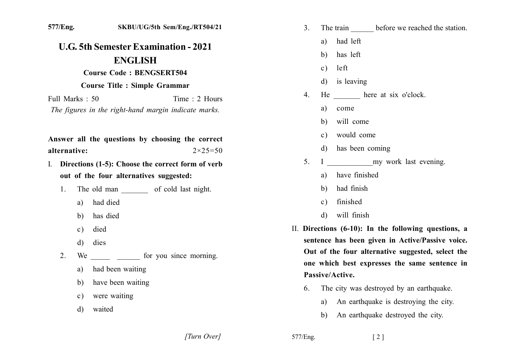| 577/Eng.                                                                                                                                             | SKBU/UG/5th Sem/Eng./RT504/21                                                                                                                                                                                                                                                   | 3 <sub>1</sub><br>The train before we reached the station.                                                                                                                                                                                                                                                                                                                                                                                                                           |
|------------------------------------------------------------------------------------------------------------------------------------------------------|---------------------------------------------------------------------------------------------------------------------------------------------------------------------------------------------------------------------------------------------------------------------------------|--------------------------------------------------------------------------------------------------------------------------------------------------------------------------------------------------------------------------------------------------------------------------------------------------------------------------------------------------------------------------------------------------------------------------------------------------------------------------------------|
| <b>U.G. 5th Semester Examination - 2021</b><br><b>ENGLISH</b>                                                                                        |                                                                                                                                                                                                                                                                                 | had left<br>a)                                                                                                                                                                                                                                                                                                                                                                                                                                                                       |
|                                                                                                                                                      |                                                                                                                                                                                                                                                                                 | has left<br>b)                                                                                                                                                                                                                                                                                                                                                                                                                                                                       |
| Full Marks: 50<br>alternative:                                                                                                                       | <b>Course Code: BENGSERT504</b><br><b>Course Title : Simple Grammar</b><br>Time: 2 Hours<br>The figures in the right-hand margin indicate marks.<br>Answer all the questions by choosing the correct<br>$2 \times 25 = 50$<br>Directions (1-5): Choose the correct form of verb | left<br>$\mathbf{c})$<br>is leaving<br>d)<br>He here at six o'clock.<br>4.<br>a)<br>come<br>will come<br>b)<br>would come<br>$\mathbf{c})$<br>has been coming<br>d)<br>my work last evening.<br>5.<br>$\bf{I}$                                                                                                                                                                                                                                                                       |
| 1.<br>had died<br>a)<br>has died<br>b)<br>died<br>$\mathbf{c})$<br>$\mathbf{d}$<br>dies<br>2.<br>a)<br>b)<br>$\mathbf{c})$<br>waited<br>$\mathbf{d}$ | out of the four alternatives suggested:<br>The old man of cold last night.<br>had been waiting<br>have been waiting<br>were waiting                                                                                                                                             | have finished<br>a)<br>had finish<br>b)<br>finished<br>$\mathbf{c})$<br>will finish<br>$\mathbf{d}$<br>II. Directions (6-10): In the following questions, a<br>sentence has been given in Active/Passive voice.<br>Out of the four alternative suggested, select the<br>one which best expresses the same sentence in<br>Passive/Active.<br>The city was destroyed by an earthquake.<br>6.<br>An earthquake is destroying the city.<br>a)<br>An earthquake destroyed the city.<br>b) |

[Turn Over]

577/Eng.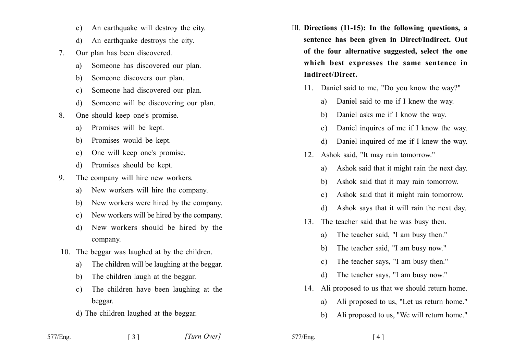- An earthquake will destroy the city.  $\mathbf{c}$ )
- An earthquake destroys the city.  $\mathbf{d}$
- Our plan has been discovered.  $7^{\circ}$ 
	- Someone has discovered our plan. a)
	- Someone discovers our plan. b)
	- Someone had discovered our plan.  $c)$
	- Someone will be discovering our plan.  $\mathcal{A}$
- One should keep one's promise. 8.
	- Promises will be kept. a)
	- Promises would be kept. b)
	- One will keep one's promise.  $\mathbf{c}$ )
	- Promises should be kept.  $\mathcal{A}$
- The company will hire new workers. 9.
	- New workers will hire the company. a)
	- New workers were hired by the company.  $h)$
	- New workers will be hired by the company.  $\mathbf{c}$ )
	- New workers should be hired by the  $\mathbf{d}$ company.
- 10. The beggar was laughed at by the children.
	- The children will be laughing at the beggar. a)
	- The children laugh at the beggar. b)
	- The children have been laughing at the  $\mathbf{c}$ ) beggar.
	- d) The children laughed at the beggar.

 $\begin{bmatrix} 3 \end{bmatrix}$ 

- III. Directions (11-15): In the following questions, a sentence has been given in Direct/Indirect. Out of the four alternative suggested, select the one which best expresses the same sentence in Indirect/Direct.
	- 11. Daniel said to me, "Do you know the way?"
		- Daniel said to me if I knew the way. a)
		- Daniel asks me if I know the way.  $h$
		- Daniel inquires of me if I know the way.  $c)$
		- Daniel inquired of me if I knew the way. d)
	- 12. Ashok said, "It may rain tomorrow."
		- Ashok said that it might rain the next day. a)
		- Ashok said that it may rain tomorrow. b)
		- Ashok said that it might rain tomorrow.  $\mathbf{c}$ )
		- Ashok says that it will rain the next day.  $\mathbf{d}$
	- 13. The teacher said that he was busy then.
		- The teacher said, "I am busy then." a)
		- The teacher said, "I am busy now." b)
		- The teacher says. "I am busy then."  $c)$
		- The teacher says. "I am busy now." d)
	- 14. Ali proposed to us that we should return home.
		- Ali proposed to us. "Let us return home." a)
		- Ali proposed to us. "We will return home."  $h$

577/Eng.

577/Eng.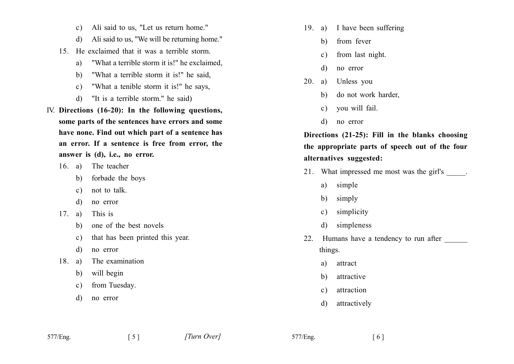- Ali said to us. "Let us return home."  $c)$
- Ali said to us, "We will be returning home."  $\mathbf{d}$
- 15 He exclaimed that it was a terrible storm
	- "What a terrible storm it is!" he exclaimed, a)
	- "What a terrible storm it is!" he said.  $h$ )
	- "What a tenible storm it is!" he says,  $c)$
	- "It is a terrible storm" he said)  $\mathbf{d}$
- IV. Directions (16-20): In the following questions, some parts of the sentences have errors and some have none. Find out which part of a sentence has an error. If a sentence is free from error, the answer is (d), i.e., no error.
	- 16. a) The teacher
		- b) forbade the boys
		- not to talk.  $c)$
		- no error d)
	- $17. a)$ This is
		- one of the best novels b)
		- that has been printed this year.  $c)$

 $\lceil 5 \rceil$ 

- no error d)
- The examination  $18$  a)
	- will begin  $b)$
	- from Tuesday.  $\mathbf{c}$ )
	- $\mathbf{d}$ no error
- 19. a) I have been suffering
	- from fever b)
	- $c)$ from last night.
	- no error d)
- $20.$ Unless you a)
	- do not work harder,  $\mathbf{b}$
	- vou will fail.  $c)$
	- d) no error

Directions (21-25): Fill in the blanks choosing the appropriate parts of speech out of the four alternatives suggested:

- 21. What impressed me most was the girl's \_\_\_\_\_.
	- simple a)
	- simply b)
	- simplicity  $c)$
	- simpleness d)
- Humans have a tendency to run after 22. things.
	- attract a)
	- attractive  $\mathbf{b}$
	- attraction  $c)$
	- attractively  $\mathbf{d}$

577/Eng.